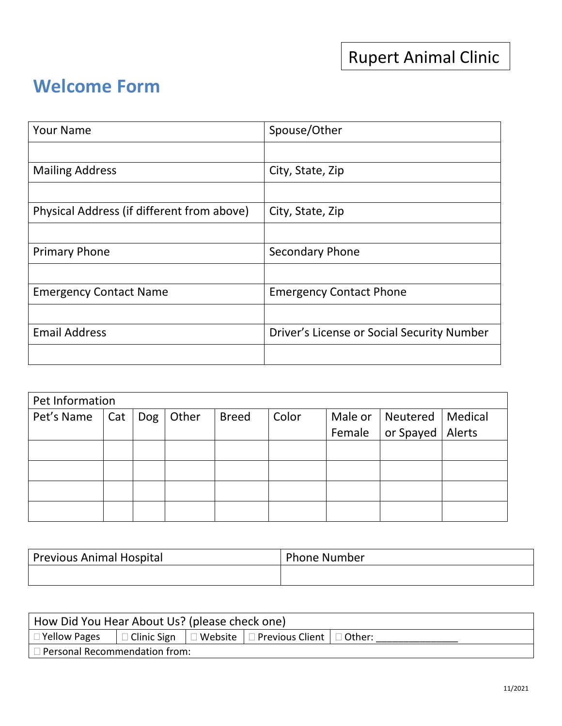## **Welcome Form**

| <b>Your Name</b>                           | Spouse/Other                               |
|--------------------------------------------|--------------------------------------------|
|                                            |                                            |
| <b>Mailing Address</b>                     | City, State, Zip                           |
|                                            |                                            |
| Physical Address (if different from above) | City, State, Zip                           |
|                                            |                                            |
| <b>Primary Phone</b>                       | Secondary Phone                            |
|                                            |                                            |
| <b>Emergency Contact Name</b>              | <b>Emergency Contact Phone</b>             |
|                                            |                                            |
| <b>Email Address</b>                       | Driver's License or Social Security Number |
|                                            |                                            |

| Pet Information |     |     |       |              |       |         |                    |        |
|-----------------|-----|-----|-------|--------------|-------|---------|--------------------|--------|
| Pet's Name      | Cat | Dog | Other | <b>Breed</b> | Color | Male or | Neutered   Medical |        |
|                 |     |     |       |              |       | Female  | $ $ or Spayed $ $  | Alerts |
|                 |     |     |       |              |       |         |                    |        |
|                 |     |     |       |              |       |         |                    |        |
|                 |     |     |       |              |       |         |                    |        |
|                 |     |     |       |              |       |         |                    |        |

| <b>Previous Animal Hospital</b> | <b>Phone Number</b> |
|---------------------------------|---------------------|
|                                 |                     |

| How Did You Hear About Us? (please check one) |  |  |                                                                              |  |
|-----------------------------------------------|--|--|------------------------------------------------------------------------------|--|
| $\Box$ Yellow Pages                           |  |  | $\Box$ Clinic Sign   $\Box$ Website   $\Box$ Previous Client   $\Box$ Other: |  |
| $\vert$ $\Box$ Personal Recommendation from:  |  |  |                                                                              |  |